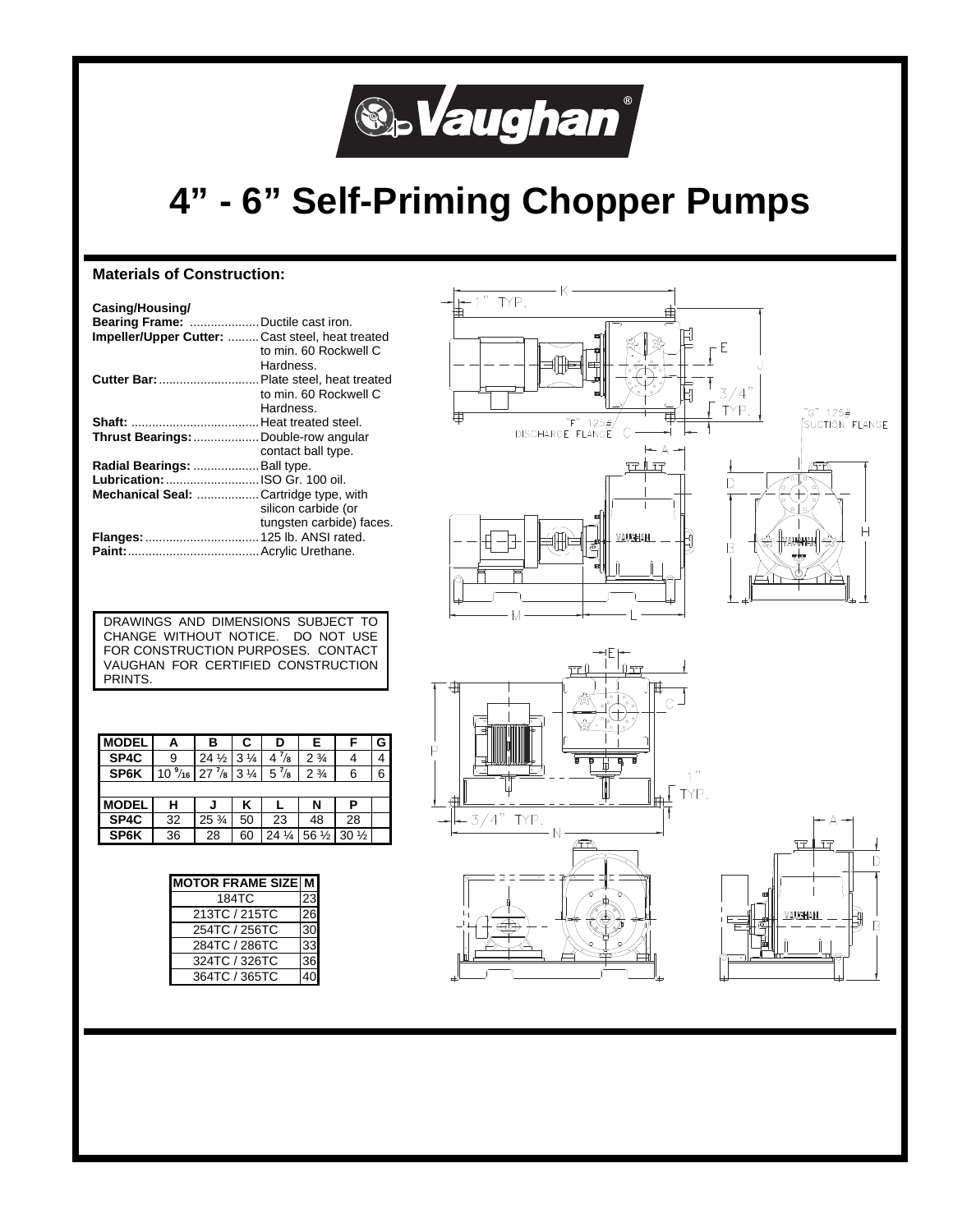

## **4" - 6" Self-Priming Chopper Pumps**

### **Materials of Construction:**

| Casing/Housing/<br><b>Bearing Frame:</b> Ductile cast iron. |                          |
|-------------------------------------------------------------|--------------------------|
| <b>Impeller/Upper Cutter: Cast steel, heat treated</b>      | to min. 60 Rockwell C    |
|                                                             | Hardness.                |
| Cutter Bar:  Plate steel, heat treated                      |                          |
|                                                             | to min. 60 Rockwell C    |
|                                                             | Hardness.                |
|                                                             |                          |
| Thrust Bearings: Double-row angular                         |                          |
|                                                             | contact ball type.       |
| Radial Bearings:  Ball type.                                |                          |
| <b>Lubrication:</b> ISO Gr. 100 oil.                        |                          |
| Mechanical Seal: Cartridge type, with                       |                          |
|                                                             | silicon carbide (or      |
|                                                             | tungsten carbide) faces. |
| Flanges:  125 lb. ANSI rated.                               |                          |
|                                                             |                          |



DRAWINGS AND DIMENSIONS SUBJECT TO CHANGE WITHOUT NOTICE. DO NOT USE FOR CONSTRUCTION PURPOSES. CONTACT VAUGHAN FOR CERTIFIED CONSTRUCTION PRINTS.

| <b>MODEL</b> | Α                                                 | в               | C              | D               | Е                | F               | G |
|--------------|---------------------------------------------------|-----------------|----------------|-----------------|------------------|-----------------|---|
| SP4C         | 9                                                 | $24\frac{1}{2}$ | $3\frac{1}{4}$ | $4^{7}/s$       | $2\frac{3}{4}$   |                 |   |
| SP6K         | $10\frac{9}{16}$ 27 $\frac{7}{8}$ 3 $\frac{1}{4}$ |                 |                | $5^{7}/s$       | $2\frac{3}{4}$   | 6               | 6 |
|              |                                                   |                 |                |                 |                  |                 |   |
| <b>MODEL</b> | н                                                 |                 | κ              |                 | N                | Р               |   |
| SP4C         | 32                                                | $25\frac{3}{4}$ | 50             | 23              | 48               | 28              |   |
| SP6K         | 36                                                | 28              | 60             | $24\frac{1}{4}$ | 56 $\frac{1}{2}$ | $30\frac{1}{2}$ |   |

| <b>MOTOR FRAME SIZE M</b> |  |  |
|---------------------------|--|--|
| 184TC                     |  |  |
| 213TC / 215TC             |  |  |
| 254TC / 256TC             |  |  |
| 284TC / 286TC             |  |  |
| 324TC / 326TC             |  |  |
| 364TC / 365TC             |  |  |



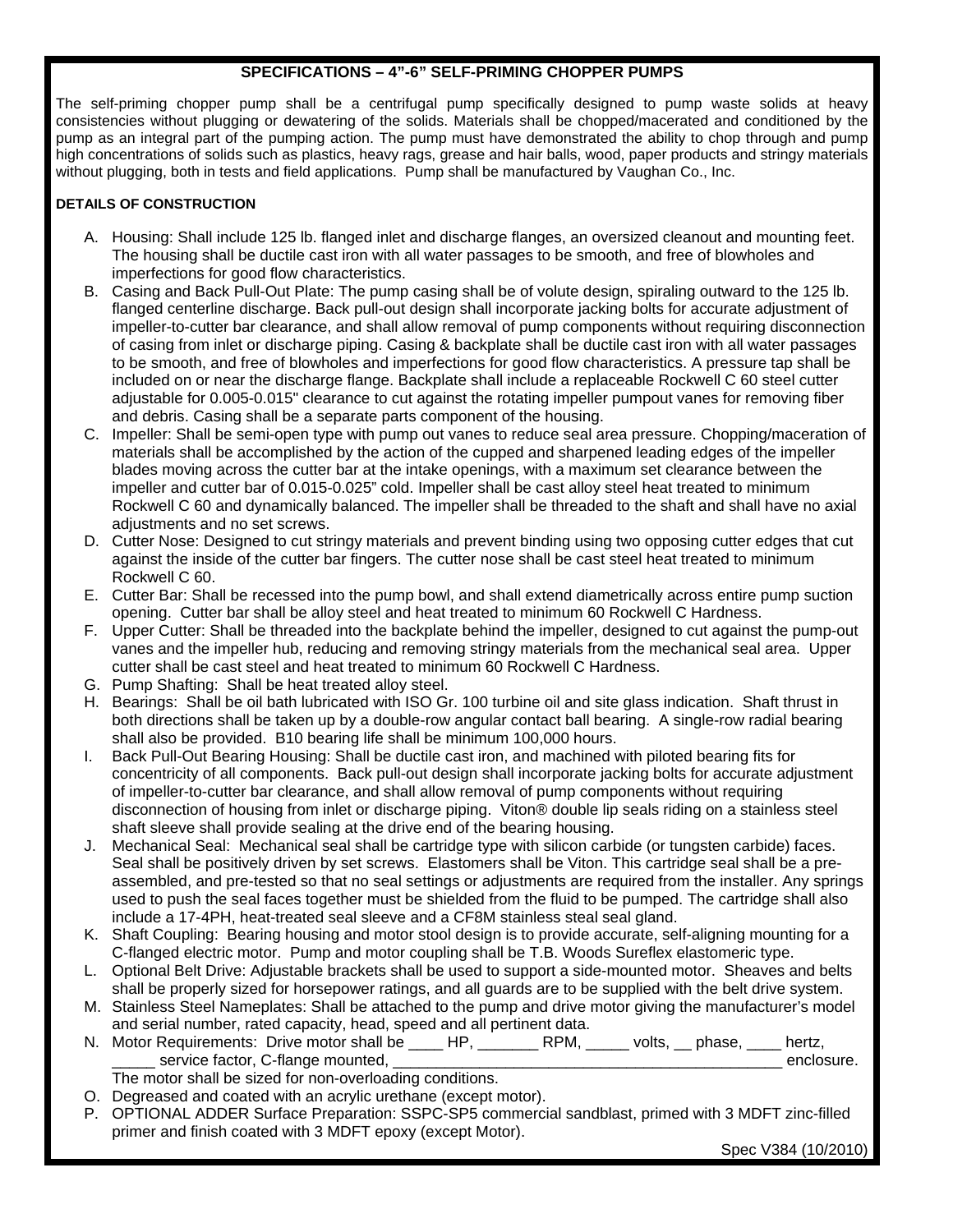### **SPECIFICATIONS – 4"-6" SELF-PRIMING CHOPPER PUMPS**

The self-priming chopper pump shall be a centrifugal pump specifically designed to pump waste solids at heavy consistencies without plugging or dewatering of the solids. Materials shall be chopped/macerated and conditioned by the pump as an integral part of the pumping action. The pump must have demonstrated the ability to chop through and pump high concentrations of solids such as plastics, heavy rags, grease and hair balls, wood, paper products and stringy materials without plugging, both in tests and field applications. Pump shall be manufactured by Vaughan Co., Inc.

### **DETAILS OF CONSTRUCTION**

- A. Housing: Shall include 125 lb. flanged inlet and discharge flanges, an oversized cleanout and mounting feet. The housing shall be ductile cast iron with all water passages to be smooth, and free of blowholes and imperfections for good flow characteristics.
- B. Casing and Back Pull-Out Plate: The pump casing shall be of volute design, spiraling outward to the 125 lb. flanged centerline discharge. Back pull-out design shall incorporate jacking bolts for accurate adjustment of impeller-to-cutter bar clearance, and shall allow removal of pump components without requiring disconnection of casing from inlet or discharge piping. Casing & backplate shall be ductile cast iron with all water passages to be smooth, and free of blowholes and imperfections for good flow characteristics. A pressure tap shall be included on or near the discharge flange. Backplate shall include a replaceable Rockwell C 60 steel cutter adjustable for 0.005-0.015" clearance to cut against the rotating impeller pumpout vanes for removing fiber and debris. Casing shall be a separate parts component of the housing.
- C. Impeller: Shall be semi-open type with pump out vanes to reduce seal area pressure. Chopping/maceration of materials shall be accomplished by the action of the cupped and sharpened leading edges of the impeller blades moving across the cutter bar at the intake openings, with a maximum set clearance between the impeller and cutter bar of 0.015-0.025" cold. Impeller shall be cast alloy steel heat treated to minimum Rockwell C 60 and dynamically balanced. The impeller shall be threaded to the shaft and shall have no axial adjustments and no set screws.
- D. Cutter Nose: Designed to cut stringy materials and prevent binding using two opposing cutter edges that cut against the inside of the cutter bar fingers. The cutter nose shall be cast steel heat treated to minimum Rockwell C 60.
- E. Cutter Bar: Shall be recessed into the pump bowl, and shall extend diametrically across entire pump suction opening. Cutter bar shall be alloy steel and heat treated to minimum 60 Rockwell C Hardness.
- F. Upper Cutter: Shall be threaded into the backplate behind the impeller, designed to cut against the pump-out vanes and the impeller hub, reducing and removing stringy materials from the mechanical seal area. Upper cutter shall be cast steel and heat treated to minimum 60 Rockwell C Hardness.
- G. Pump Shafting: Shall be heat treated alloy steel.
- H. Bearings: Shall be oil bath lubricated with ISO Gr. 100 turbine oil and site glass indication. Shaft thrust in both directions shall be taken up by a double-row angular contact ball bearing. A single-row radial bearing shall also be provided. B10 bearing life shall be minimum 100,000 hours.
- I. Back Pull-Out Bearing Housing: Shall be ductile cast iron, and machined with piloted bearing fits for concentricity of all components. Back pull-out design shall incorporate jacking bolts for accurate adjustment of impeller-to-cutter bar clearance, and shall allow removal of pump components without requiring disconnection of housing from inlet or discharge piping. Viton® double lip seals riding on a stainless steel shaft sleeve shall provide sealing at the drive end of the bearing housing.
- Mechanical Seal: Mechanical seal shall be cartridge type with silicon carbide (or tungsten carbide) faces. Seal shall be positively driven by set screws. Elastomers shall be Viton. This cartridge seal shall be a preassembled, and pre-tested so that no seal settings or adjustments are required from the installer. Any springs used to push the seal faces together must be shielded from the fluid to be pumped. The cartridge shall also include a 17-4PH, heat-treated seal sleeve and a CF8M stainless steal seal gland.
- K. Shaft Coupling: Bearing housing and motor stool design is to provide accurate, self-aligning mounting for a C-flanged electric motor. Pump and motor coupling shall be T.B. Woods Sureflex elastomeric type.
- L. Optional Belt Drive: Adjustable brackets shall be used to support a side-mounted motor. Sheaves and belts shall be properly sized for horsepower ratings, and all guards are to be supplied with the belt drive system.
- M. Stainless Steel Nameplates: Shall be attached to the pump and drive motor giving the manufacturer's model and serial number, rated capacity, head, speed and all pertinent data.
- N. Motor Requirements: Drive motor shall be \_\_\_\_ HP, \_\_\_\_\_\_ RPM, \_\_\_\_\_ volts, \_\_ phase, \_\_\_\_ hertz, \_\_\_\_\_ service factor, C-flange mounted, \_\_\_\_\_\_\_\_\_\_\_\_\_\_\_\_\_\_\_\_\_\_\_\_\_\_\_\_\_\_\_\_\_\_\_\_\_\_\_\_\_\_\_\_\_ enclosure.
	- The motor shall be sized for non-overloading conditions.
- O. Degreased and coated with an acrylic urethane (except motor).
- P. OPTIONAL ADDER Surface Preparation: SSPC-SP5 commercial sandblast, primed with 3 MDFT zinc-filled primer and finish coated with 3 MDFT epoxy (except Motor).

Spec V384 (10/2010)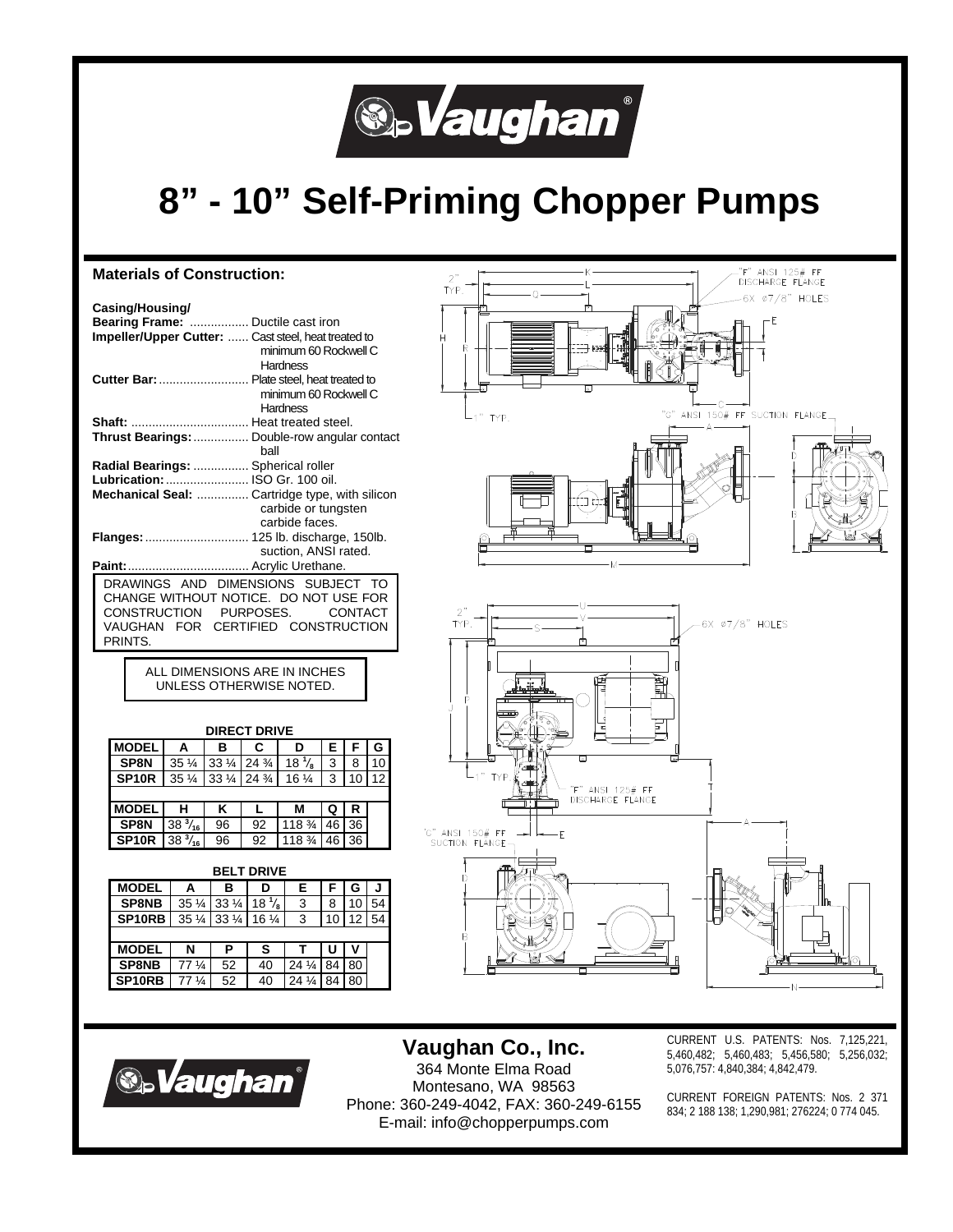

# **8" - 10" Self-Priming Chopper Pumps**

#### "F" ANSI 125# FF<br>DISCHARGE FLANGE **Materials of Construction:**   $\bar{Y}P$ 6X 07/8" HOLES **Casing/Housing/ Bearing Frame:** ................. Ductile cast iron **Impeller/Upper Cutter:** ...... Cast steel, heat treated to minimum 60 Rockwell C **Hardness Cutter Bar:**.......................... Plate steel, heat treated to minimum 60 Rockwell C **Hardness** ANSI 150# FF SUCTION FLANGE **TYP Shaft:** .................................. Heat treated steel. **Thrust Bearings:**................ Double-row angular contact ball **Radial Bearings:** ................ Spherical roller **Lubrication:**........................ ISO Gr. 100 oil. **Mechanical Seal:** ............... Cartridge type, with silicon carbide or tungsten carbide faces. **Flanges:**.............................. 125 lb. discharge, 150lb. suction, ANSI rated. **Paint:**................................... Acrylic Urethane. DRAWINGS AND DIMENSIONS SUBJECT TO CHANGE WITHOUT NOTICE. DO NOT USE FOR CONSTRUCTION PURPOSES. CONTACT 6X ø7/8" HOLES VAUGHAN FOR CERTIFIED CONSTRUCTION **TYP** PRINTS. ALL DIMENSIONS ARE IN INCHES UNLESS OTHERWISE NOTED. **DIRECT DRIVE MODEL A B C D E F G SP8N** 35 ¼ 33 ¼ 24 ¾ 18 <sup>1</sup>/<sub>8</sub><br>**SP10R** 35 ¼ 33 ¼ 24 ¾ 16 ¼  $\begin{array}{|c|c|c|c|c|}\n \hline\n 3 & 10 & 12\n \end{array}$ **35 ¼ 33 ¼ 24 ¾ 16 ¼ 3 10 12**  $\overline{r}$  ANSI 125# FF DISCHARGE FLANGE **MODEL H K K L M Q R SP8N**  $38\frac{3}{16}$ */***16** 96 92 118 ¾ 46 36 G" ANSI 150# FF'<br>SUCTION FLANGE **SP10R** 38  $\frac{3}{16}$ */***16** 96 92 118 ¾ 46 36 **BELT DRIVE MODEL A B D E F G J SP8NB** 35 1/4 33 1/4 18 <sup>1</sup>/<sub>8</sub> */***8** 3 8 10 54 **SP10RB** 35 ¼ 33 ¼ 16 ¼ 3 10 12 54 **MODEL N P S T U V**<br>**SP8NB** 77 % 52 40 24 % 84 80 **SP8NB** 77 1/4 52 40 24 1/4 84 80



**SP10RB** | 77  $\frac{1}{4}$  | 52 | 40 | 24  $\frac{1}{4}$  | 84 | 80

**Vaughan Co., Inc.**  364 Monte Elma Road Montesano, WA 98563 Phone: 360-249-4042, FAX: 360-249-6155 E-mail: info@chopperpumps.com

CURRENT U.S. PATENTS: Nos. 7,125,221, 5,460,482; 5,460,483; 5,456,580; 5,256,032; 5,076,757: 4,840,384; 4,842,479.

CURRENT FOREIGN PATENTS: Nos. 2 371 834; 2 188 138; 1,290,981; 276224; 0 774 045.